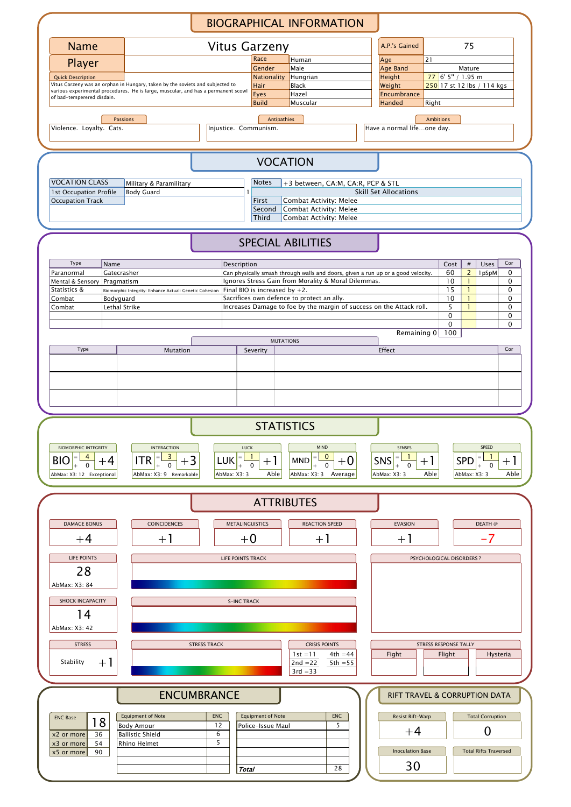